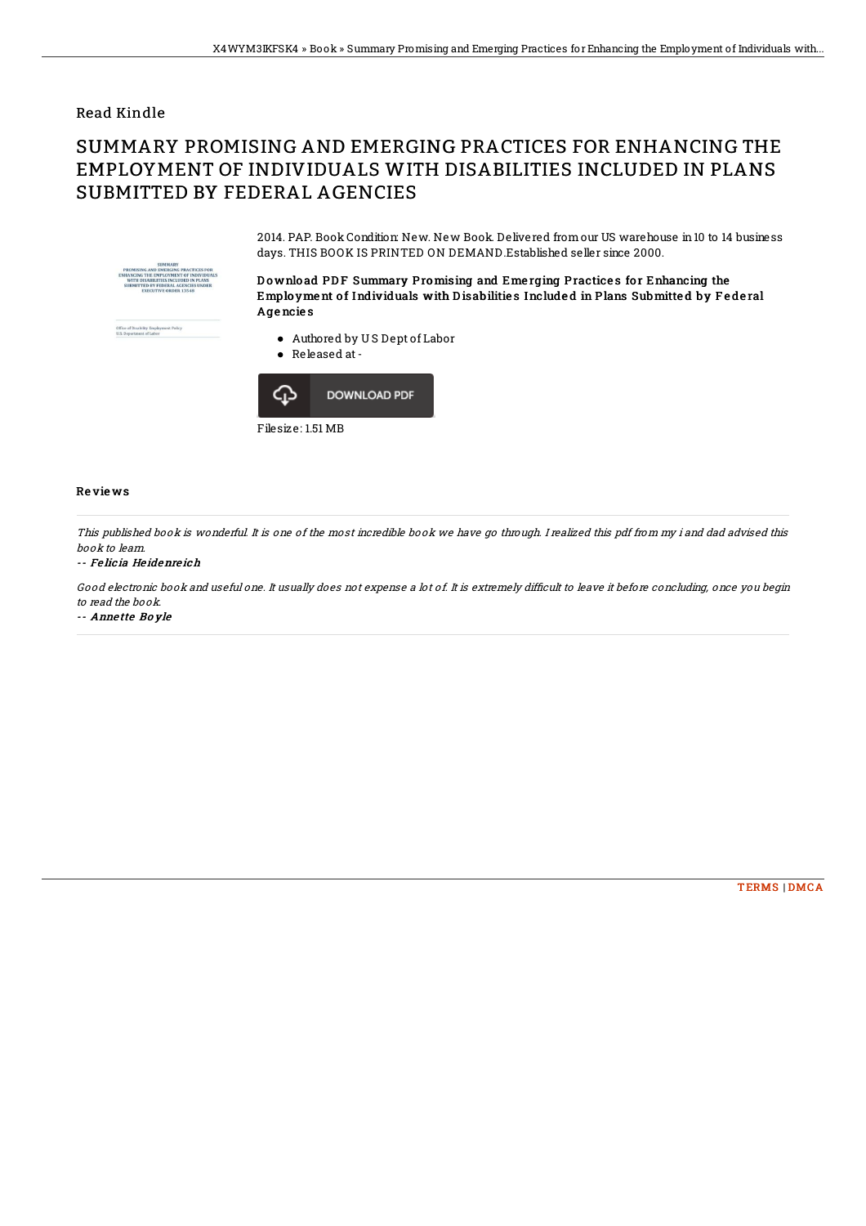## Read Kindle

# SUMMARY PROMISING AND EMERGING PRACTICES FOR ENHANCING THE EMPLOYMENT OF INDIVIDUALS WITH DISABILITIES INCLUDED IN PLANS SUBMITTED BY FEDERAL AGENCIES



2014. PAP. Book Condition: New. New Book. Delivered from our US warehouse in 10 to 14 business days. THIS BOOK IS PRINTED ON DEMAND Established seller since 2000.

Download PDF Summary Promising and Emerging Practices for Enhancing the Employment of Individuals with Disabilities Included in Plans Submitted by Federal Agencies

- Authored by US Dept of Labor
- Released at -



### **Reviews**

This published book is wonderful. It is one of the most incredible book we have go through. I realized this pdf from my i and dad advised this book to leam.

#### -- Felicia Heidenreich

Good electronic book and useful one. It usually does not expense a lot of. It is extremely difficult to leave it before concluding, once you begin to read the book

-- Annette Boyle